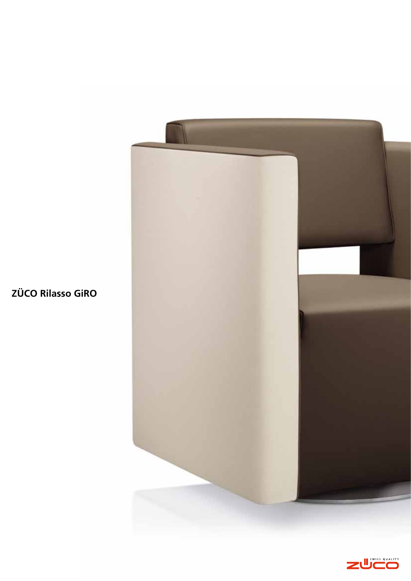

ZÜCO Rilasso GiRO

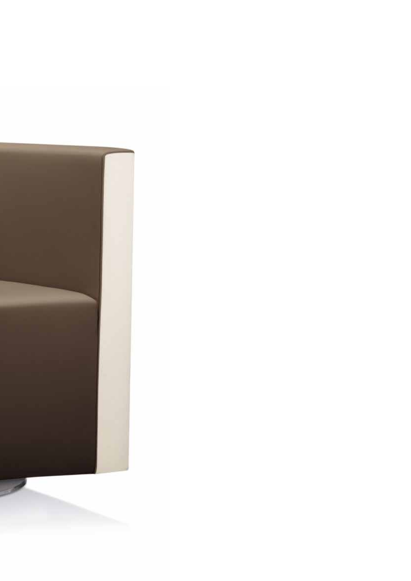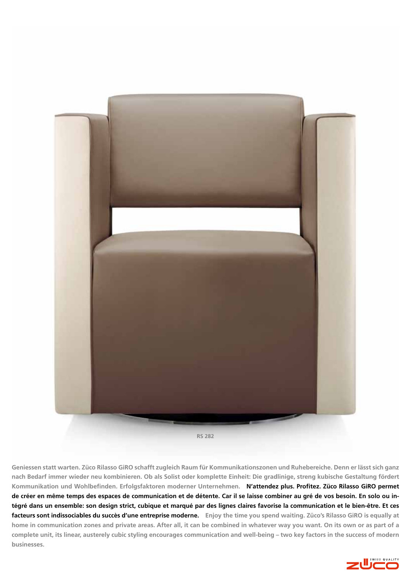

**Geniessen statt warten. Züco Rilasso GiRO schafft zugleich Raum für Kommunikationszonen und Ruhebereiche. Denn er lässt sich ganz nach Bedarf immer wieder neu kombinieren. Ob als Solist oder komplette Einheit: Die gradlinige, streng kubische Gestaltung fördert Kommunikation und Wohlbefinden. Erfolgsfaktoren moderner Unternehmen. N'attendez plus. Profitez. Züco Rilasso GiRO permet de créer en même temps des espaces de communication et de détente. Car il se laisse combiner au gré de vos besoin. En solo ou intégré dans un ensemble: son design strict, cubique et marqué par des lignes claires favorise la communication et le bien-être. Et ces facteurs sont indissociables du succès d'une entreprise moderne. Enjoy the time you spend waiting. Züco's Rilasso GiRO is equally at home in communication zones and private areas. After all, it can be combined in whatever way you want. On its own or as part of a complete unit, its linear, austerely cubic styling encourages communication and well-being – two key factors in the success of modern businesses.**

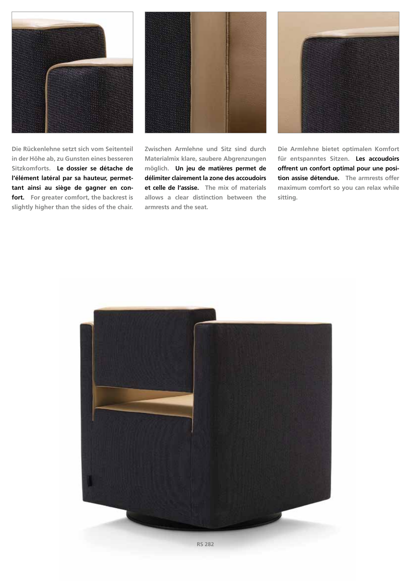

**Die Rückenlehne setzt sich vom Seitenteil in der Höhe ab, zu Gunsten eines besseren Sitzkomforts. Le dossier se détache de l'élément latéral par sa hauteur, permettant ainsi au siège de gagner en confort. For greater comfort, the backrest is slightly higher than the sides of the chair.**



**Zwischen Armlehne und Sitz sind durch Materialmix klare, saubere Abgrenzungen möglich. Un jeu de matières permet de délimiter clairement la zone des accoudoirs et celle de l'assise. The mix of materials allows a clear distinction between the armrests and the seat.**



**Die Armlehne bietet optimalen Komfort für entspanntes Sitzen. Les accoudoirs offrent un confort optimal pour une position assise détendue. The armrests offer maximum comfort so you can relax while sitting.**

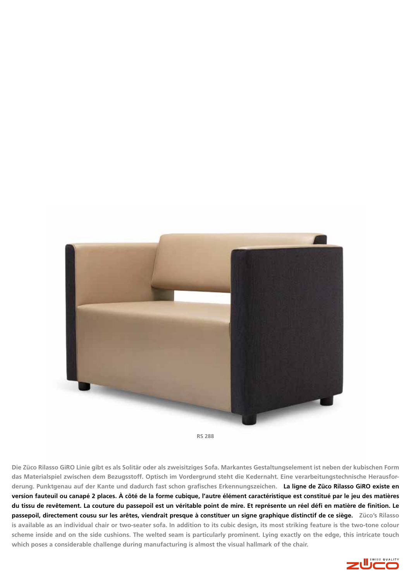

**RS 288**

**Die Züco Rilasso GiRO Linie gibt es als Solitär oder als zweisitziges Sofa. Markantes Gestaltungselement ist neben der kubischen Form das Materialspiel zwischen dem Bezugsstoff. Optisch im Vordergrund steht die Kedernaht. Eine verarbeitungstechnische Herausforderung. Punktgenau auf der Kante und dadurch fast schon grafisches Erkennungszeichen. La ligne de Züco Rilasso GiRO existe en version fauteuil ou canapé 2 places. À côté de la forme cubique, l'autre élément caractéristique est constitué par le jeu des matières du tissu de revêtement. La couture du passepoil est un véritable point de mire. Et représente un réel défi en matière de finition. Le passepoil, directement cousu sur les arêtes, viendrait presque à constituer un signe graphique distinctif de ce siège. Züco's Rilasso is available as an individual chair or two-seater sofa. In addition to its cubic design, its most striking feature is the two-tone colour scheme inside and on the side cushions. The welted seam is particularly prominent. Lying exactly on the edge, this intricate touch which poses a considerable challenge during manufacturing is almost the visual hallmark of the chair.**

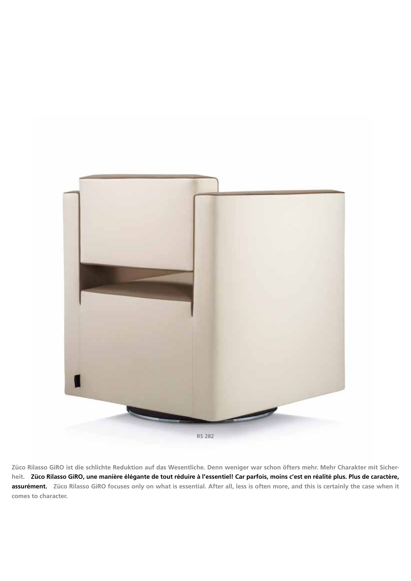

**Züco Rilasso GiRO ist die schlichte Reduktion auf das Wesentliche. Denn weniger war schon öfters mehr. Mehr Charakter mit Sicherheit. Züco Rilasso GiRO, une manière élégante de tout réduire à l'essentiel! Car parfois, moins c'est en réalité plus. Plus de caractère, assurément. Züco Rilasso GiRO focuses only on what is essential. After all, less is often more, and this is certainly the case when it comes to character.**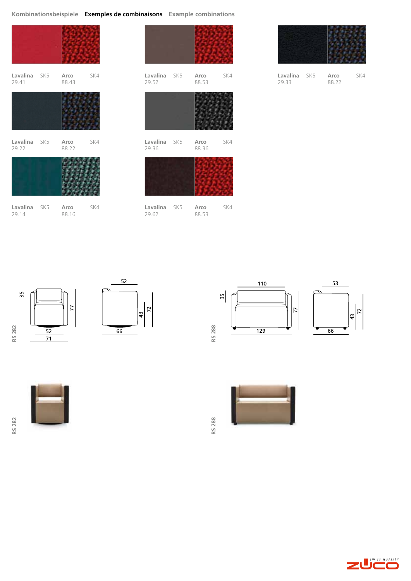## **Kombinationsbeispiele Exemples de combinaisons Example combinations**

| Lavalina SK5<br>29.41 | Arco<br>88.43 | SK4 |
|-----------------------|---------------|-----|
|                       |               |     |
| Lavalina SK5<br>29.22 | Arco<br>88.22 | SK4 |
|                       |               |     |
| Lavalina SK5<br>29.14 | Arco<br>88.16 | SK4 |

| Lavalina SK5 Arco<br>29.52 | 88.53 | SK4 |
|----------------------------|-------|-----|
|                            |       |     |
| Lavalina SK5 Arco<br>29.36 | 88.36 | SK4 |
|                            |       |     |

**Lavalina** SK5 29.62 **Arco** SK4 88.53

43

 $\overline{z}$ 

66

52



**Lavalina** SK5 29.33 **Arco** SK4 88.22

| 110 |   |  |
|-----|---|--|
| 129 | r |  |
|     |   |  |





52

77

71

35

**RS 282**

**RS 282**

**RS 288**

35

**RS 288**